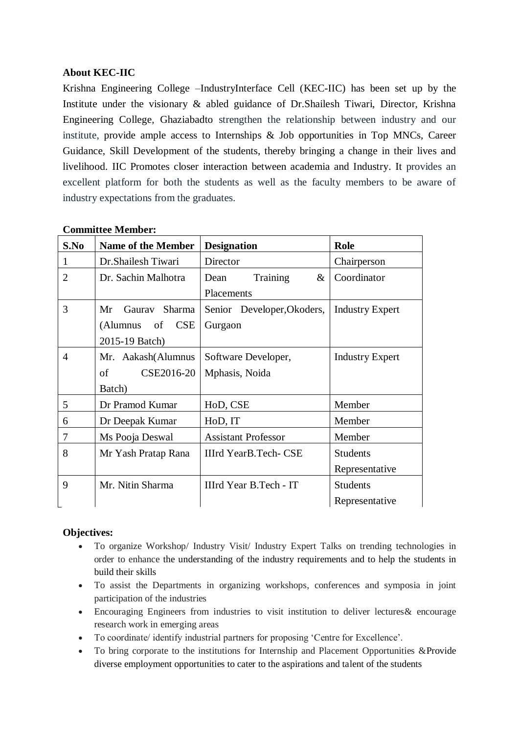## **About KEC-IIC**

Krishna Engineering College –IndustryInterface Cell (KEC-IIC) has been set up by the Institute under the visionary & abled guidance of Dr.Shailesh Tiwari, Director, Krishna Engineering College, Ghaziabadto strengthen the relationship between industry and our institute, provide ample access to Internships & Job opportunities in Top MNCs, Career Guidance, Skill Development of the students, thereby bringing a change in their lives and livelihood. IIC Promotes closer interaction between academia and Industry. It provides an excellent platform for both the students as well as the faculty members to be aware of industry expectations from the graduates.

| S.No | <b>Name of the Member</b> | <b>Designation</b>           | Role                   |
|------|---------------------------|------------------------------|------------------------|
|      | Dr. Shailesh Tiwari       | Director                     | Chairperson            |
| 2    | Dr. Sachin Malhotra       | Training<br>$\&$<br>Dean     | Coordinator            |
|      |                           | Placements                   |                        |
| 3    | Gauray Sharma<br>Mr       | Senior Developer, Okoders,   | <b>Industry Expert</b> |
|      | <b>CSE</b><br>(Alumnus of | Gurgaon                      |                        |
|      | 2015-19 Batch)            |                              |                        |
| 4    | Mr. Aakash(Alumnus        | Software Developer,          | <b>Industry Expert</b> |
|      | CSE2016-20<br>of          | Mphasis, Noida               |                        |
|      | Batch)                    |                              |                        |
| 5    | Dr Pramod Kumar           | HoD, CSE                     | Member                 |
| 6    | Dr Deepak Kumar           | HoD, IT                      | Member                 |
| 7    | Ms Pooja Deswal           | <b>Assistant Professor</b>   | Member                 |
| 8    | Mr Yash Pratap Rana       | <b>IIIrd YearB.Tech- CSE</b> | <b>Students</b>        |
|      |                           |                              | Representative         |
| 9    | Mr. Nitin Sharma          | IIIrd Year B.Tech - IT       | <b>Students</b>        |
|      |                           |                              | Representative         |

## **Committee Member:**

## **Objectives:**

- To organize Workshop/ Industry Visit/ Industry Expert Talks on trending technologies in order to enhance the understanding of the industry requirements and to help the students in build their skills
- To assist the Departments in organizing workshops, conferences and symposia in joint participation of the industries
- Encouraging Engineers from industries to visit institution to deliver lectures& encourage research work in emerging areas
- To coordinate/ identify industrial partners for proposing 'Centre for Excellence'.
- To bring corporate to the institutions for Internship and Placement Opportunities & Provide diverse employment opportunities to cater to the aspirations and talent of the students